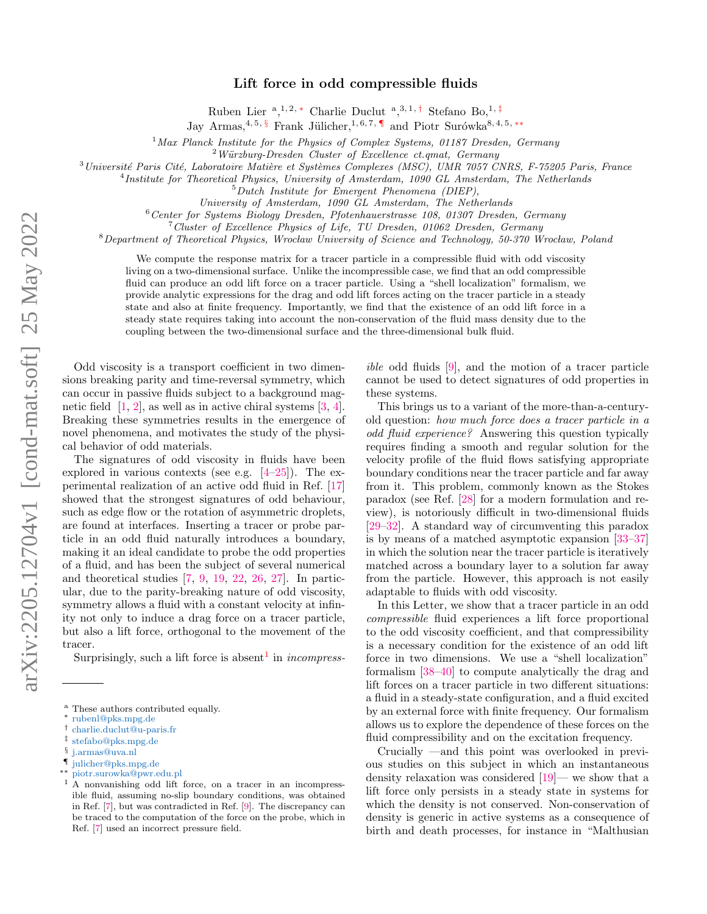## Lift force in odd compressible fluids

Ruben Lier <sup>a</sup>,<sup>1,2,\*</sup> Charlie Duclut <sup>a</sup>,<sup>3,1,[†](#page-0-1)</sup> Stefano Bo,<sup>1,[‡](#page-0-2)</sup>

Jay Armas,<sup>4, 5, [§](#page-0-3)</sup> Frank Jülicher,<sup>1, 6, 7, [¶](#page-0-4)</sup> and Piotr Surówka<sup>8, 4, 5, \*\*</sup>

<sup>1</sup>Max Planck Institute for the Physics of Complex Systems, 01187 Dresden, Germany

 $2$  Würzburg-Dresden Cluster of Excellence ct.qmat, Germany

 $3$ Université Paris Cité, Laboratoire Matière et Systèmes Complexes (MSC), UMR 7057 CNRS, F-75205 Paris, France

<sup>4</sup>Institute for Theoretical Physics, University of Amsterdam, 1090 GL Amsterdam, The Netherlands

<sup>5</sup>Dutch Institute for Emergent Phenomena (DIEP),

University of Amsterdam, 1090 GL Amsterdam, The Netherlands

 $6$ Center for Systems Biology Dresden, Pfotenhauerstrasse 108, 01307 Dresden, Germany

<sup>7</sup>Cluster of Excellence Physics of Life, TU Dresden, 01062 Dresden, Germany

 $8$ Department of Theoretical Physics, Wrocław University of Science and Technology, 50-370 Wrocław, Poland

We compute the response matrix for a tracer particle in a compressible fluid with odd viscosity living on a two-dimensional surface. Unlike the incompressible case, we find that an odd compressible fluid can produce an odd lift force on a tracer particle. Using a "shell localization" formalism, we provide analytic expressions for the drag and odd lift forces acting on the tracer particle in a steady state and also at finite frequency. Importantly, we find that the existence of an odd lift force in a steady state requires taking into account the non-conservation of the fluid mass density due to the coupling between the two-dimensional surface and the three-dimensional bulk fluid.

Odd viscosity is a transport coefficient in two dimensions breaking parity and time-reversal symmetry, which can occur in passive fluids subject to a background magnetic field  $[1, 2]$  $[1, 2]$  $[1, 2]$ , as well as in active chiral systems  $[3, 4]$  $[3, 4]$  $[3, 4]$ . Breaking these symmetries results in the emergence of novel phenomena, and motivates the study of the physical behavior of odd materials.

The signatures of odd viscosity in fluids have been explored in various contexts (see e.g. [\[4](#page-5-3)[–25\]](#page-5-4)). The experimental realization of an active odd fluid in Ref. [\[17\]](#page-5-5) showed that the strongest signatures of odd behaviour, such as edge flow or the rotation of asymmetric droplets, are found at interfaces. Inserting a tracer or probe particle in an odd fluid naturally introduces a boundary, making it an ideal candidate to probe the odd properties of a fluid, and has been the subject of several numerical and theoretical studies [\[7,](#page-5-6) [9,](#page-5-7) [19,](#page-5-8) [22,](#page-5-9) [26,](#page-5-10) [27\]](#page-5-11). In particular, due to the parity-breaking nature of odd viscosity, symmetry allows a fluid with a constant velocity at infinity not only to induce a drag force on a tracer particle, but also a lift force, orthogonal to the movement of the tracer.

Surprisingly, such a lift force is absent<sup>[1](#page-0-6)</sup> in *incompress*-

<span id="page-0-5"></span>∗∗ [piotr.surowka@pwr.edu.pl](mailto:piotr.surowka@pwr.edu.pl)

ible odd fluids [\[9\]](#page-5-7), and the motion of a tracer particle cannot be used to detect signatures of odd properties in these systems.

This brings us to a variant of the more-than-a-centuryold question: how much force does a tracer particle in a odd fluid experience? Answering this question typically requires finding a smooth and regular solution for the velocity profile of the fluid flows satisfying appropriate boundary conditions near the tracer particle and far away from it. This problem, commonly known as the Stokes paradox (see Ref. [\[28\]](#page-5-12) for a modern formulation and review), is notoriously difficult in two-dimensional fluids [\[29–](#page-5-13)[32\]](#page-6-0). A standard way of circumventing this paradox is by means of a matched asymptotic expansion [\[33](#page-6-1)[–37\]](#page-6-2) in which the solution near the tracer particle is iteratively matched across a boundary layer to a solution far away from the particle. However, this approach is not easily adaptable to fluids with odd viscosity.

In this Letter, we show that a tracer particle in an odd compressible fluid experiences a lift force proportional to the odd viscosity coefficient, and that compressibility is a necessary condition for the existence of an odd lift force in two dimensions. We use a "shell localization" formalism [\[38](#page-6-3)[–40\]](#page-6-4) to compute analytically the drag and lift forces on a tracer particle in two different situations: a fluid in a steady-state configuration, and a fluid excited by an external force with finite frequency. Our formalism allows us to explore the dependence of these forces on the fluid compressibility and on the excitation frequency.

Crucially —and this point was overlooked in previous studies on this subject in which an instantaneous density relaxation was considered [\[19\]](#page-5-8)— we show that a lift force only persists in a steady state in systems for which the density is not conserved. Non-conservation of density is generic in active systems as a consequence of birth and death processes, for instance in "Malthusian

<sup>a</sup> These authors contributed equally.

<span id="page-0-0"></span><sup>∗</sup> [rubenl@pks.mpg.de](mailto:rubenl@pks.mpg.de)

<span id="page-0-1"></span><sup>†</sup> [charlie.duclut@u-paris.fr](mailto:charlie.duclut@u-paris.fr)

<span id="page-0-2"></span><sup>‡</sup> [stefabo@pks.mpg.de](mailto:stefabo@pks.mpg.de)

<span id="page-0-3"></span><sup>§</sup> [j.armas@uva.nl](mailto:j.armas@uva.nl)

<span id="page-0-4"></span><sup>¶</sup> [julicher@pks.mpg.de](mailto:julicher@pks.mpg.de)

<span id="page-0-6"></span><sup>1</sup> A nonvanishing odd lift force, on a tracer in an incompressible fluid, assuming no-slip boundary conditions, was obtained in Ref. [\[7\]](#page-5-6), but was contradicted in Ref. [\[9\]](#page-5-7). The discrepancy can be traced to the computation of the force on the probe, which in Ref. [\[7\]](#page-5-6) used an incorrect pressure field.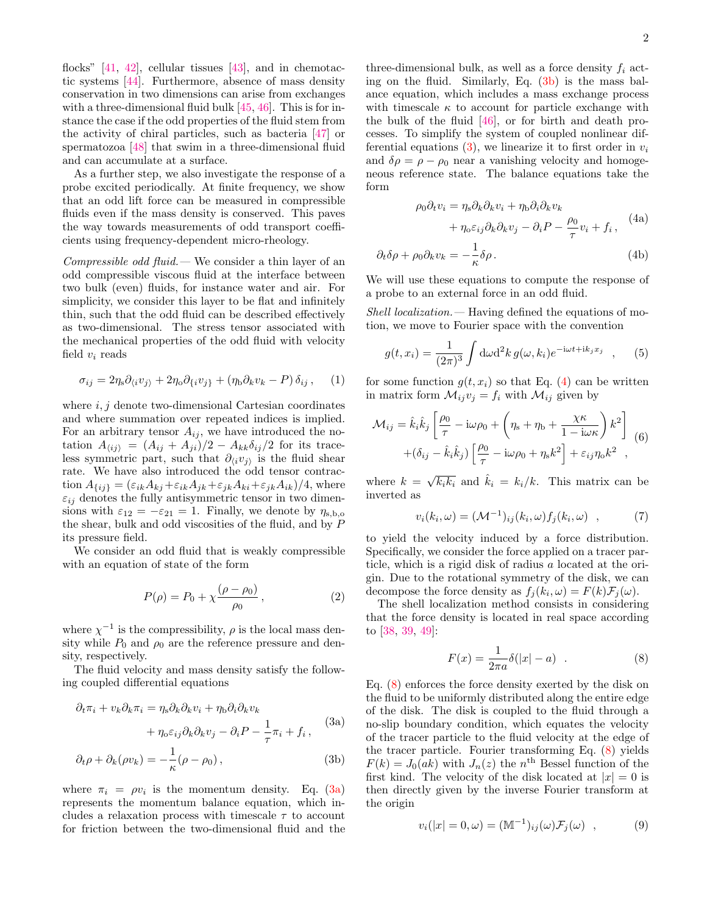flocks"  $[41, 42]$  $[41, 42]$  $[41, 42]$ , cellular tissues  $[43]$ , and in chemotactic systems [\[44\]](#page-6-8). Furthermore, absence of mass density conservation in two dimensions can arise from exchanges with a three-dimensional fluid bulk  $[45, 46]$  $[45, 46]$  $[45, 46]$ . This is for instance the case if the odd properties of the fluid stem from the activity of chiral particles, such as bacteria [\[47\]](#page-6-11) or spermatozoa [\[48\]](#page-6-12) that swim in a three-dimensional fluid and can accumulate at a surface.

As a further step, we also investigate the response of a probe excited periodically. At finite frequency, we show that an odd lift force can be measured in compressible fluids even if the mass density is conserved. This paves the way towards measurements of odd transport coefficients using frequency-dependent micro-rheology.

Compressible odd fluid.— We consider a thin layer of an odd compressible viscous fluid at the interface between two bulk (even) fluids, for instance water and air. For simplicity, we consider this layer to be flat and infinitely thin, such that the odd fluid can be described effectively as two-dimensional. The stress tensor associated with the mechanical properties of the odd fluid with velocity field  $v_i$  reads

$$
\sigma_{ij} = 2\eta_{\rm s}\partial_{\langle i}v_{j\rangle} + 2\eta_{\rm o}\partial_{\{i}v_{j\}} + (\eta_{\rm b}\partial_{k}v_{k} - P)\,\delta_{ij}\,,\quad (1)
$$

where  $i, j$  denote two-dimensional Cartesian coordinates and where summation over repeated indices is implied. For an arbitrary tensor  $A_{ij}$ , we have introduced the notation  $A_{\langle ij \rangle} = (A_{ij} + A_{ji})/2 - A_{kk}\delta_{ij}/2$  for its traceless symmetric part, such that  $\partial_{\langle i}v_{j}\rangle$  is the fluid shear rate. We have also introduced the odd tensor contraction  $A_{\{ij\}} = (\varepsilon_{ik}A_{kj} + \varepsilon_{ik}A_{jk} + \varepsilon_{jk}A_{ki} + \varepsilon_{jk}A_{ik})/4$ , where  $\varepsilon_{ij}$  denotes the fully antisymmetric tensor in two dimensions with  $\varepsilon_{12} = -\varepsilon_{21} = 1$ . Finally, we denote by  $\eta_{s,b,o}$ the shear, bulk and odd viscosities of the fluid, and by P its pressure field.

We consider an odd fluid that is weakly compressible with an equation of state of the form

<span id="page-1-2"></span>
$$
P(\rho) = P_0 + \chi \frac{(\rho - \rho_0)}{\rho_0}, \qquad (2)
$$

where  $\chi^{-1}$  is the compressibility,  $\rho$  is the local mass density while  $P_0$  and  $\rho_0$  are the reference pressure and density, respectively.

The fluid velocity and mass density satisfy the following coupled differential equations

$$
\partial_t \pi_i + v_k \partial_k \pi_i = \eta_s \partial_k \partial_k v_i + \eta_b \partial_i \partial_k v_k + \eta_o \varepsilon_{ij} \partial_k \partial_k v_j - \partial_i P - \frac{1}{\tau} \pi_i + f_i,
$$
 (3a)

$$
\partial_t \rho + \partial_k (\rho v_k) = -\frac{1}{\kappa} (\rho - \rho_0) \,, \tag{3b}
$$

where  $\pi_i = \rho v_i$  is the momentum density. Eq. [\(3a\)](#page-1-0) represents the momentum balance equation, which includes a relaxation process with timescale  $\tau$  to account for friction between the two-dimensional fluid and the

three-dimensional bulk, as well as a force density  $f_i$  acting on the fluid. Similarly, Eq. [\(3b\)](#page-1-1) is the mass balance equation, which includes a mass exchange process with timescale  $\kappa$  to account for particle exchange with the bulk of the fluid [\[46\]](#page-6-10), or for birth and death processes. To simplify the system of coupled nonlinear differential equations  $(3)$ , we linearize it to first order in  $v_i$ and  $\delta \rho = \rho - \rho_0$  near a vanishing velocity and homogeneous reference state. The balance equations take the form

<span id="page-1-3"></span>
$$
\rho_0 \partial_t v_i = \eta_s \partial_k \partial_k v_i + \eta_b \partial_i \partial_k v_k + \eta_0 \varepsilon_{ij} \partial_k \partial_k v_j - \partial_i P - \frac{\rho_0}{\tau} v_i + f_i, \quad (4a)
$$

$$
\partial_t \delta \rho + \rho_0 \partial_k v_k = -\frac{1}{\kappa} \delta \rho \,. \tag{4b}
$$

We will use these equations to compute the response of a probe to an external force in an odd fluid.

Shell localization.— Having defined the equations of motion, we move to Fourier space with the convention

$$
g(t, x_i) = \frac{1}{(2\pi)^3} \int d\omega d^2 k \, g(\omega, k_i) e^{-i\omega t + ik_j x_j} \quad , \quad (5)
$$

for some function  $g(t, x_i)$  so that Eq. [\(4\)](#page-1-3) can be written in matrix form  $\mathcal{M}_{ij}v_j = f_i$  with  $\mathcal{M}_{ij}$  given by

$$
\mathcal{M}_{ij} = \hat{k}_i \hat{k}_j \left[ \frac{\rho_0}{\tau} - i\omega \rho_0 + \left( \eta_s + \eta_b + \frac{\chi \kappa}{1 - i\omega \kappa} \right) k^2 \right] \tag{6}
$$

$$
+ (\delta_{ij} - \hat{k}_i \hat{k}_j) \left[ \frac{\rho_0}{\tau} - i\omega \rho_0 + \eta_s k^2 \right] + \varepsilon_{ij} \eta_0 k^2 ,
$$

where  $k = \sqrt{k_i k_i}$  and  $\hat{k}_i = k_i / k$ . This matrix can be inverted as

$$
v_i(k_i, \omega) = (\mathcal{M}^{-1})_{ij}(k_i, \omega) f_j(k_i, \omega) , \qquad (7)
$$

to yield the velocity induced by a force distribution. Specifically, we consider the force applied on a tracer particle, which is a rigid disk of radius a located at the origin. Due to the rotational symmetry of the disk, we can decompose the force density as  $f_j(k_i, \omega) = F(k)\mathcal{F}_j(\omega)$ .

The shell localization method consists in considering that the force density is located in real space according to [\[38,](#page-6-3) [39,](#page-6-13) [49\]](#page-6-14):

<span id="page-1-4"></span>
$$
F(x) = \frac{1}{2\pi a} \delta(|x| - a) \quad . \tag{8}
$$

<span id="page-1-1"></span><span id="page-1-0"></span>Eq. [\(8\)](#page-1-4) enforces the force density exerted by the disk on the fluid to be uniformly distributed along the entire edge of the disk. The disk is coupled to the fluid through a no-slip boundary condition, which equates the velocity of the tracer particle to the fluid velocity at the edge of the tracer particle. Fourier transforming Eq. [\(8\)](#page-1-4) yields  $F(k) = J_0(ak)$  with  $J_n(z)$  the n<sup>th</sup> Bessel function of the first kind. The velocity of the disk located at  $|x| = 0$  is then directly given by the inverse Fourier transform at the origin

$$
v_i(|x| = 0, \omega) = (\mathbb{M}^{-1})_{ij}(\omega) \mathcal{F}_j(\omega) , \qquad (9)
$$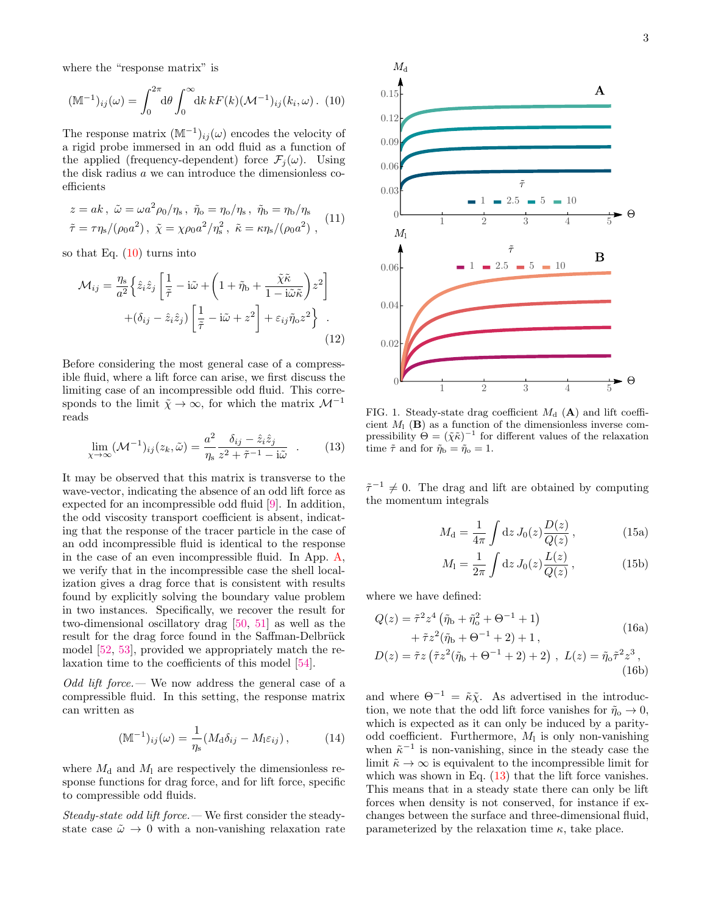where the "response matrix" is

$$
(\mathbb{M}^{-1})_{ij}(\omega) = \int_0^{2\pi} d\theta \int_0^{\infty} dk \, k F(k) (\mathcal{M}^{-1})_{ij}(k_i, \omega). \tag{10}
$$

The response matrix  $(M^{-1})_{ij}(\omega)$  encodes the velocity of a rigid probe immersed in an odd fluid as a function of the applied (frequency-dependent) force  $\mathcal{F}_i(\omega)$ . Using the disk radius a we can introduce the dimensionless coefficients

$$
z = ak, \ \tilde{\omega} = \omega a^2 \rho_0 / \eta_s, \ \tilde{\eta}_0 = \eta_0 / \eta_s, \ \tilde{\eta}_b = \eta_b / \eta_s \tilde{\tau} = \tau \eta_s / (\rho_0 a^2), \ \tilde{\chi} = \chi \rho_0 a^2 / \eta_s^2, \ \tilde{\kappa} = \kappa \eta_s / (\rho_0 a^2),
$$
 (11)

so that Eq.  $(10)$  turns into

$$
\mathcal{M}_{ij} = \frac{\eta_s}{a^2} \left\{ \hat{z}_i \hat{z}_j \left[ \frac{1}{\tilde{\tau}} - i\tilde{\omega} + \left( 1 + \tilde{\eta}_b + \frac{\tilde{\chi}\tilde{\kappa}}{1 - i\tilde{\omega}\tilde{\kappa}} \right) z^2 \right] + (\delta_{ij} - \hat{z}_i \hat{z}_j) \left[ \frac{1}{\tilde{\tau}} - i\tilde{\omega} + z^2 \right] + \varepsilon_{ij} \tilde{\eta}_o z^2 \right\} \tag{12}
$$

Before considering the most general case of a compressible fluid, where a lift force can arise, we first discuss the limiting case of an incompressible odd fluid. This corresponds to the limit  $\tilde{\chi} \to \infty$ , for which the matrix  $\mathcal{M}^{-1}$ reads

$$
\lim_{\chi \to \infty} (\mathcal{M}^{-1})_{ij}(z_k, \tilde{\omega}) = \frac{a^2}{\eta_s} \frac{\delta_{ij} - \hat{z}_i \hat{z}_j}{z^2 + \tilde{\tau}^{-1} - i\tilde{\omega}} \quad . \tag{13}
$$

It may be observed that this matrix is transverse to the wave-vector, indicating the absence of an odd lift force as expected for an incompressible odd fluid [\[9\]](#page-5-7). In addition, the odd viscosity transport coefficient is absent, indicating that the response of the tracer particle in the case of an odd incompressible fluid is identical to the response in the case of an even incompressible fluid. In App. [A,](#page-4-0) we verify that in the incompressible case the shell localization gives a drag force that is consistent with results found by explicitly solving the boundary value problem in two instances. Specifically, we recover the result for two-dimensional oscillatory drag [\[50,](#page-6-15) [51\]](#page-6-16) as well as the result for the drag force found in the Saffman-Delbrück model [\[52,](#page-6-17) [53\]](#page-6-18), provided we appropriately match the relaxation time to the coefficients of this model [\[54\]](#page-6-19).

Odd lift force.— We now address the general case of a compressible fluid. In this setting, the response matrix can written as

$$
(\mathbb{M}^{-1})_{ij}(\omega) = \frac{1}{\eta_{\rm s}} (M_{\rm d}\delta_{ij} - M_{\rm l}\varepsilon_{ij}), \qquad (14)
$$

where  $M_{\rm d}$  and  $M_{\rm l}$  are respectively the dimensionless response functions for drag force, and for lift force, specific to compressible odd fluids.

Steady-state odd lift force.— We first consider the steadystate case  $\tilde{\omega} \rightarrow 0$  with a non-vanishing relaxation rate

<span id="page-2-0"></span>

<span id="page-2-3"></span><span id="page-2-1"></span>FIG. 1. Steady-state drag coefficient  $M_d$  (A) and lift coefficient  $M_1$  (**B**) as a function of the dimensionless inverse compressibility  $\Theta = (\tilde{\chi}\tilde{\kappa})^{-1}$  for different values of the relaxation time  $\tilde{\tau}$  and for  $\tilde{\eta}_b = \tilde{\eta}_o = 1$ .

 $\tilde{\tau}^{-1} \neq 0$ . The drag and lift are obtained by computing the momentum integrals

$$
M_{\rm d} = \frac{1}{4\pi} \int \mathrm{d}z \, J_0(z) \frac{D(z)}{Q(z)}\,,\tag{15a}
$$

<span id="page-2-2"></span>
$$
M_1 = \frac{1}{2\pi} \int dz J_0(z) \frac{L(z)}{Q(z)}, \qquad (15b)
$$

where we have defined:

$$
Q(z) = \tilde{\tau}^2 z^4 \left( \tilde{\eta}_b + \tilde{\eta}_o^2 + \Theta^{-1} + 1 \right) + \tilde{\tau} z^2 (\tilde{\eta}_b + \Theta^{-1} + 2) + 1,
$$
 (16a)

$$
D(z) = \tilde{\tau}z(\tilde{\tau}z^2(\tilde{\eta}_b + \Theta^{-1} + 2) + 2), \ L(z) = \tilde{\eta}_o \tilde{\tau}^2 z^3,
$$
\n(16b)

and where  $\Theta^{-1} = \tilde{\kappa} \tilde{\chi}$ . As advertised in the introduction, we note that the odd lift force vanishes for  $\tilde{\eta}_0 \to 0$ , which is expected as it can only be induced by a parityodd coefficient. Furthermore,  $M<sub>1</sub>$  is only non-vanishing when  $\tilde{\kappa}^{-1}$  is non-vanishing, since in the steady case the limit  $\tilde{\kappa} \to \infty$  is equivalent to the incompressible limit for which was shown in Eq.  $(13)$  that the lift force vanishes. This means that in a steady state there can only be lift forces when density is not conserved, for instance if exchanges between the surface and three-dimensional fluid, parameterized by the relaxation time  $\kappa$ , take place.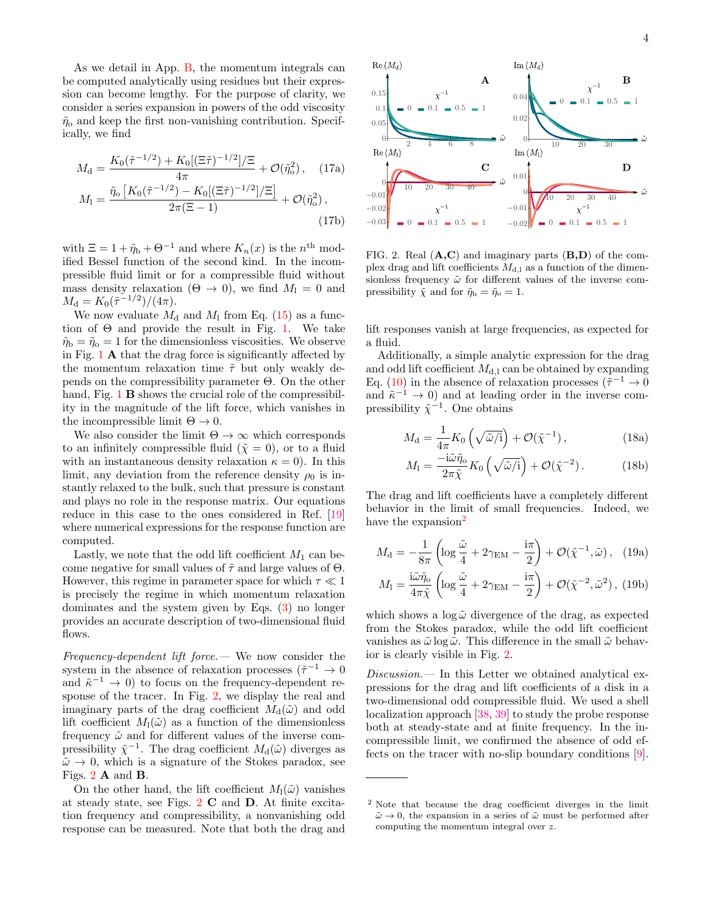As we detail in App. [B,](#page-4-1) the momentum integrals can be computed analytically using residues but their expression can become lengthy. For the purpose of clarity, we consider a series expansion in powers of the odd viscosity  $\tilde{\eta}_{\rm o}$  and keep the first non-vanishing contribution. Specifically, we find

$$
M_{\rm d} = \frac{K_0(\tilde{\tau}^{-1/2}) + K_0[(\Xi \tilde{\tau})^{-1/2}]/\Xi}{4\pi} + \mathcal{O}(\tilde{\eta}_{\rm o}^2), \quad (17a)
$$

$$
M_{\rm l} = \frac{\tilde{\eta}_{\rm o}\left[K_0(\tilde{\tau}^{-1/2}) - K_0[(\Xi \tilde{\tau})^{-1/2}]/\Xi\right]}{2\pi(\Xi - 1)} + \mathcal{O}(\tilde{\eta}_{\rm o}^2), \quad (17b)
$$

with  $\Xi = 1 + \tilde{\eta}_b + \Theta^{-1}$  and where  $K_n(x)$  is the  $n^{\text{th}}$  modified Bessel function of the second kind. In the incompressible fluid limit or for a compressible fluid without mass density relaxation  $(\Theta \rightarrow 0)$ , we find  $M_1 = 0$  and  $M_{\rm d} = K_0(\tilde{\tau}^{-1/2})/(4\pi).$ 

We now evaluate  $M_d$  and  $M_l$  from Eq. [\(15\)](#page-2-2) as a function of  $\Theta$  and provide the result in Fig. [1.](#page-2-3) We take  $\tilde{\eta}_b = \tilde{\eta}_o = 1$  for the dimensionless viscosities. We observe in Fig. [1](#page-2-3) A that the drag force is significantly affected by the momentum relaxation time  $\tilde{\tau}$  but only weakly depends on the compressibility parameter Θ. On the other hand, Fig. [1](#page-2-3) **B** shows the crucial role of the compressibility in the magnitude of the lift force, which vanishes in the incompressible limit  $\Theta \to 0$ .

We also consider the limit  $\Theta \to \infty$  which corresponds to an infinitely compressible fluid  $({\tilde{\chi}} = 0)$ , or to a fluid with an instantaneous density relaxation  $\kappa = 0$ ). In this limit, any deviation from the reference density  $\rho_0$  is instantly relaxed to the bulk, such that pressure is constant and plays no role in the response matrix. Our equations reduce in this case to the ones considered in Ref. [\[19\]](#page-5-8) where numerical expressions for the response function are computed.

Lastly, we note that the odd lift coefficient  $M_1$  can become negative for small values of  $\tilde{\tau}$  and large values of  $\Theta$ . However, this regime in parameter space for which  $\tau \ll 1$ is precisely the regime in which momentum relaxation dominates and the system given by Eqs. [\(3\)](#page-1-2) no longer provides an accurate description of two-dimensional fluid flows.

Frequency-dependent lift force.— We now consider the system in the absence of relaxation processes ( $\tilde{\tau}^{-1} \to 0$ and  $\tilde{\kappa}^{-1} \to 0$ ) to focus on the frequency-dependent response of the tracer. In Fig. [2,](#page-3-0) we display the real and imaginary parts of the drag coefficient  $M_d(\tilde{\omega})$  and odd lift coefficient  $M_1(\tilde{\omega})$  as a function of the dimensionless frequency  $\tilde{\omega}$  and for different values of the inverse compressibility  $\tilde{\chi}^{-1}$ . The drag coefficient  $M_d(\tilde{\omega})$  diverges as  $\tilde{\omega} \rightarrow 0$ , which is a signature of the Stokes paradox, see Figs. [2](#page-3-0) A and B.

On the other hand, the lift coefficient  $M_1(\tilde{\omega})$  vanishes at steady state, see Figs. [2](#page-3-0) C and D. At finite excitation frequency and compressibility, a nonvanishing odd response can be measured. Note that both the drag and



<span id="page-3-2"></span><span id="page-3-0"></span>FIG. 2. Real  $(A, C)$  and imaginary parts  $(B, D)$  of the complex drag and lift coefficients  $M_{d,l}$  as a function of the dimensionless frequency  $\tilde{\omega}$  for different values of the inverse compressibility  $\tilde{\chi}$  and for  $\tilde{\eta}_b = \tilde{\eta}_o = 1$ .

lift responses vanish at large frequencies, as expected for a fluid.

Additionally, a simple analytic expression for the drag and odd lift coefficient  $M_{d,l}$  can be obtained by expanding Eq. [\(10\)](#page-2-0) in the absence of relaxation processes ( $\tilde{\tau}^{-1} \to 0$ and  $\tilde{\kappa}^{-1} \to 0$ ) and at leading order in the inverse compressibility  $\tilde{\chi}^{-1}$ . One obtains

$$
M_{\rm d} = \frac{1}{4\pi} K_0 \left( \sqrt{\tilde{\omega}/i} \right) + \mathcal{O}(\tilde{\chi}^{-1}), \tag{18a}
$$

<span id="page-3-3"></span>
$$
M_1 = \frac{-i\tilde{\omega}\tilde{\eta}_o}{2\pi\tilde{\chi}} K_0 \left(\sqrt{\tilde{\omega}/i}\right) + \mathcal{O}(\tilde{\chi}^{-2}). \tag{18b}
$$

The drag and lift coefficients have a completely different behavior in the limit of small frequencies. Indeed, we have the expansion<sup>[2](#page-3-1)</sup>

$$
M_{\rm d} = -\frac{1}{8\pi} \left( \log \frac{\tilde{\omega}}{4} + 2\gamma_{\rm EM} - \frac{\mathrm{i}\pi}{2} \right) + \mathcal{O}(\tilde{\chi}^{-1}, \tilde{\omega}), \quad (19a)
$$

$$
M_{\rm l} = \frac{\mathrm{i}\tilde{\omega}\tilde{\eta}_{\rm o}}{4\pi\tilde{\chi}} \left( \log \frac{\tilde{\omega}}{4} + 2\gamma_{\rm EM} - \frac{\mathrm{i}\pi}{2} \right) + \mathcal{O}(\tilde{\chi}^{-2}, \tilde{\omega}^{2}), \ (19b)
$$

which shows a  $\log \tilde{\omega}$  divergence of the drag, as expected from the Stokes paradox, while the odd lift coefficient vanishes as  $\tilde{\omega}$  log  $\tilde{\omega}$ . This difference in the small  $\tilde{\omega}$  behavior is clearly visible in Fig. [2.](#page-3-0)

Discussion.— In this Letter we obtained analytical expressions for the drag and lift coefficients of a disk in a two-dimensional odd compressible fluid. We used a shell localization approach [\[38,](#page-6-3) [39\]](#page-6-13) to study the probe response both at steady-state and at finite frequency. In the incompressible limit, we confirmed the absence of odd effects on the tracer with no-slip boundary conditions [\[9\]](#page-5-7).

<span id="page-3-1"></span><sup>2</sup> Note that because the drag coefficient diverges in the limit  $\tilde{\omega} \rightarrow 0$ , the expansion in a series of  $\tilde{\omega}$  must be performed after computing the momentum integral over z.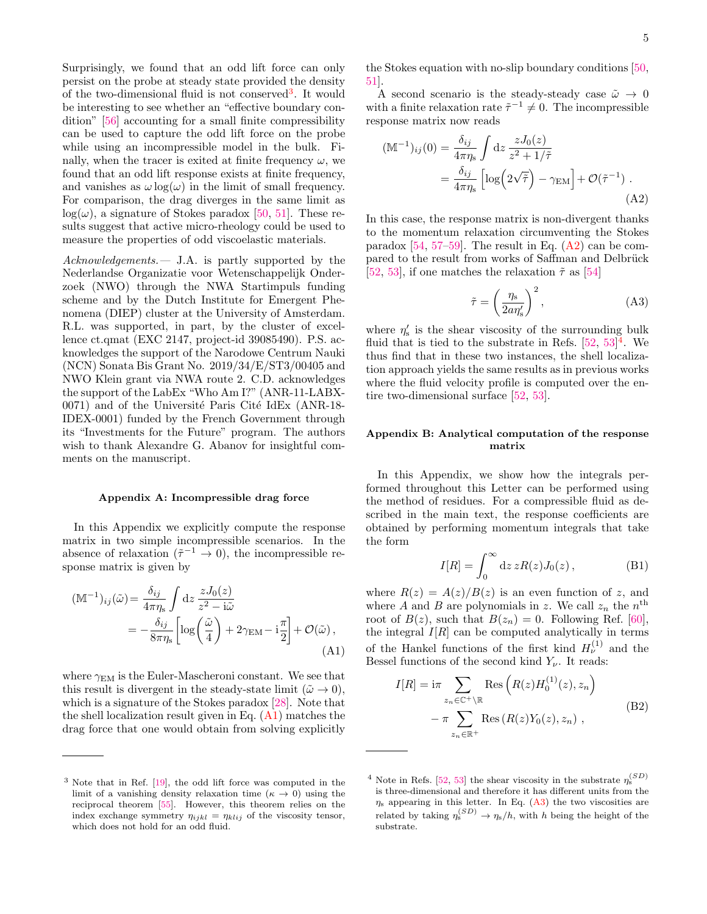Surprisingly, we found that an odd lift force can only persist on the probe at steady state provided the density of the two-dimensional fluid is not conserved<sup>[3](#page-4-2)</sup>. It would be interesting to see whether an "effective boundary condition" [\[56\]](#page-6-20) accounting for a small finite compressibility can be used to capture the odd lift force on the probe while using an incompressible model in the bulk. Finally, when the tracer is exited at finite frequency  $\omega$ , we found that an odd lift response exists at finite frequency, and vanishes as  $\omega \log(\omega)$  in the limit of small frequency. For comparison, the drag diverges in the same limit as  $log(\omega)$ , a signature of Stokes paradox [\[50,](#page-6-15) [51\]](#page-6-16). These results suggest that active micro-rheology could be used to measure the properties of odd viscoelastic materials.

Acknowledgements. - J.A. is partly supported by the Nederlandse Organizatie voor Wetenschappelijk Onderzoek (NWO) through the NWA Startimpuls funding scheme and by the Dutch Institute for Emergent Phenomena (DIEP) cluster at the University of Amsterdam. R.L. was supported, in part, by the cluster of excellence ct.qmat (EXC 2147, project-id 39085490). P.S. acknowledges the support of the Narodowe Centrum Nauki (NCN) Sonata Bis Grant No. 2019/34/E/ST3/00405 and NWO Klein grant via NWA route 2. C.D. acknowledges the support of the LabEx "Who Am I?" (ANR-11-LABX- $0071$ ) and of the Université Paris Cité IdEx (ANR-18-IDEX-0001) funded by the French Government through its "Investments for the Future" program. The authors wish to thank Alexandre G. Abanov for insightful comments on the manuscript.

## <span id="page-4-0"></span>Appendix A: Incompressible drag force

In this Appendix we explicitly compute the response matrix in two simple incompressible scenarios. In the absence of relaxation  $({\tilde{\tau}}^{-1} \to 0)$ , the incompressible response matrix is given by

$$
(\mathbb{M}^{-1})_{ij}(\tilde{\omega}) = \frac{\delta_{ij}}{4\pi \eta_s} \int dz \frac{z J_0(z)}{z^2 - i\tilde{\omega}}
$$
  
= 
$$
-\frac{\delta_{ij}}{8\pi \eta_s} \left[ \log \left( \frac{\tilde{\omega}}{4} \right) + 2\gamma_{EM} - i\frac{\pi}{2} \right] + \mathcal{O}(\tilde{\omega}),
$$
(A1)

where  $\gamma_{EM}$  is the Euler-Mascheroni constant. We see that this result is divergent in the steady-state limit  $(\tilde{\omega} \to 0)$ , which is a signature of the Stokes paradox [\[28\]](#page-5-12). Note that the shell localization result given in Eq.  $(A1)$  matches the drag force that one would obtain from solving explicitly the Stokes equation with no-slip boundary conditions [\[50,](#page-6-15) [51\]](#page-6-16).

A second scenario is the steady-steady case  $\tilde{\omega} \rightarrow 0$ with a finite relaxation rate  $\tilde{\tau}^{-1} \neq 0$ . The incompressible response matrix now reads

$$
(\mathbb{M}^{-1})_{ij}(0) = \frac{\delta_{ij}}{4\pi\eta_s} \int dz \frac{zJ_0(z)}{z^2 + 1/\tilde{\tau}}
$$
  
= 
$$
\frac{\delta_{ij}}{4\pi\eta_s} \left[ \log \left( 2\sqrt{\tilde{\tau}} \right) - \gamma_{\text{EM}} \right] + \mathcal{O}(\tilde{\tau}^{-1}).
$$
 (A2)

In this case, the response matrix is non-divergent thanks to the momentum relaxation circumventing the Stokes paradox  $[54, 57-59]$  $[54, 57-59]$  $[54, 57-59]$ . The result in Eq.  $(A2)$  can be compared to the result from works of Saffman and Delbrück [\[52,](#page-6-17) [53\]](#page-6-18), if one matches the relaxation  $\tilde{\tau}$  as [\[54\]](#page-6-19)

<span id="page-4-6"></span><span id="page-4-4"></span>
$$
\tilde{\tau} = \left(\frac{\eta_s}{2a\eta'_s}\right)^2,\tag{A3}
$$

where  $\eta'_{s}$  is the shear viscosity of the surrounding bulk fluid that is tied to the substrate in Refs.  $[52, 53]^4$  $[52, 53]^4$  $[52, 53]^4$  $[52, 53]^4$  $[52, 53]^4$ . We thus find that in these two instances, the shell localization approach yields the same results as in previous works where the fluid velocity profile is computed over the entire two-dimensional surface [\[52,](#page-6-17) [53\]](#page-6-18).

## <span id="page-4-1"></span>Appendix B: Analytical computation of the response matrix

In this Appendix, we show how the integrals performed throughout this Letter can be performed using the method of residues. For a compressible fluid as described in the main text, the response coefficients are obtained by performing momentum integrals that take the form

<span id="page-4-7"></span>
$$
I[R] = \int_0^\infty dz \, zR(z) J_0(z) \,, \tag{B1}
$$

<span id="page-4-3"></span>where  $R(z) = A(z)/B(z)$  is an even function of z, and where A and B are polynomials in z. We call  $z_n$  the  $n^{\text{th}}$ root of  $B(z)$ , such that  $B(z_n) = 0$ . Following Ref. [\[60\]](#page-6-24), the integral  $I[R]$  can be computed analytically in terms of the Hankel functions of the first kind  $H_{\nu}^{(1)}$  and the Bessel functions of the second kind  $Y_{\nu}$ . It reads:

$$
I[R] = \mathrm{i}\pi \sum_{z_n \in \mathbb{C}^+ \setminus \mathbb{R}} \mathrm{Res}\left(R(z)H_0^{(1)}(z), z_n\right)
$$

$$
- \pi \sum_{z_n \in \mathbb{R}^+} \mathrm{Res}\left(R(z)Y_0(z), z_n\right), \tag{B2}
$$

<span id="page-4-2"></span><sup>3</sup> Note that in Ref. [\[19\]](#page-5-8), the odd lift force was computed in the limit of a vanishing density relaxation time  $(\kappa \to 0)$  using the reciprocal theorem [\[55\]](#page-6-21). However, this theorem relies on the index exchange symmetry  $\eta_{ijkl} = \eta_{klij}$  of the viscosity tensor, which does not hold for an odd fluid.

<span id="page-4-5"></span><sup>&</sup>lt;sup>4</sup> Note in Refs. [\[52,](#page-6-17) [53\]](#page-6-18) the shear viscosity in the substrate  $\eta_s^{(SD)}$ is three-dimensional and therefore it has different units from the  $\eta_s$  appearing in this letter. In Eq. [\(A3\)](#page-4-6) the two viscosities are related by taking  $\eta_s^{(SD)} \to \eta_s/h$ , with h being the height of the substrate.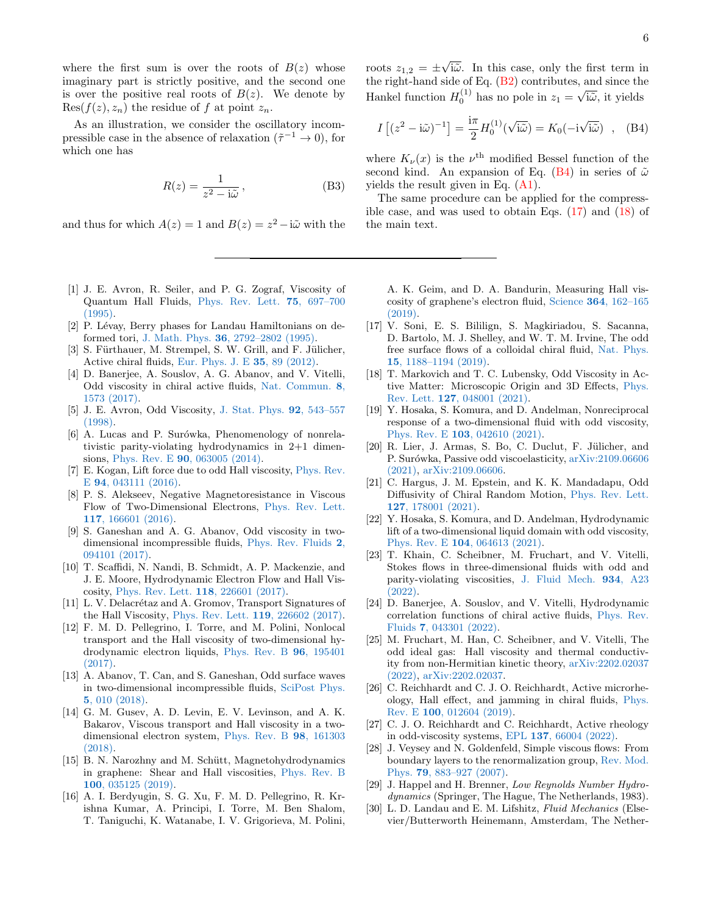where the first sum is over the roots of  $B(z)$  whose imaginary part is strictly positive, and the second one is over the positive real roots of  $B(z)$ . We denote by  $Res(f(z), z_n)$  the residue of f at point  $z_n$ .

As an illustration, we consider the oscillatory incompressible case in the absence of relaxation ( $\tilde{\tau}^{-1} \to 0$ ), for which one has

$$
R(z) = \frac{1}{z^2 - i\tilde{\omega}},
$$
 (B3)

and thus for which  $A(z) = 1$  and  $B(z) = z^2 - i\tilde{\omega}$  with the

- <span id="page-5-0"></span>[1] J. E. Avron, R. Seiler, and P. G. Zograf, Viscosity of Quantum Hall Fluids, [Phys. Rev. Lett.](https://doi.org/10.1103/PhysRevLett.75.697) 75, 697–700 [\(1995\).](https://doi.org/10.1103/PhysRevLett.75.697)
- <span id="page-5-1"></span>[2] P. Lévay, Berry phases for Landau Hamiltonians on deformed tori, J. Math. Phys. 36[, 2792–2802 \(1995\).](https://doi.org/10.1063/1.531066)
- <span id="page-5-2"></span>[3] S. Fürthauer, M. Strempel, S. W. Grill, and F. Jülicher, Active chiral fluids, [Eur. Phys. J. E](https://doi.org/10.1140/epje/i2012-12089-6) 35, 89 (2012).
- <span id="page-5-3"></span>[4] D. Banerjee, A. Souslov, A. G. Abanov, and V. Vitelli, Odd viscosity in chiral active fluids, [Nat. Commun.](https://doi.org/10.1038/s41467-017-01378-7) 8, [1573 \(2017\).](https://doi.org/10.1038/s41467-017-01378-7)
- [5] J. E. Avron, Odd Viscosity, [J. Stat. Phys.](https://doi.org/10.1023/A:1023084404080) 92, 543–557 [\(1998\).](https://doi.org/10.1023/A:1023084404080)
- [6] A. Lucas and P. Surówka, Phenomenology of nonrelativistic parity-violating hydrodynamics in 2+1 dimensions, Phys. Rev. E 90[, 063005 \(2014\).](https://doi.org/10.1103/PhysRevE.90.063005)
- <span id="page-5-6"></span>[7] E. Kogan, Lift force due to odd Hall viscosity, [Phys. Rev.](https://doi.org/10.1103/PhysRevE.94.043111) E 94[, 043111 \(2016\).](https://doi.org/10.1103/PhysRevE.94.043111)
- [8] P. S. Alekseev, Negative Magnetoresistance in Viscous Flow of Two-Dimensional Electrons, [Phys. Rev. Lett.](https://doi.org/10.1103/PhysRevLett.117.166601) 117[, 166601 \(2016\).](https://doi.org/10.1103/PhysRevLett.117.166601)
- <span id="page-5-7"></span>[9] S. Ganeshan and A. G. Abanov, Odd viscosity in twodimensional incompressible fluids, [Phys. Rev. Fluids](https://doi.org/10.1103/PhysRevFluids.2.094101) 2, [094101 \(2017\).](https://doi.org/10.1103/PhysRevFluids.2.094101)
- [10] T. Scaffidi, N. Nandi, B. Schmidt, A. P. Mackenzie, and J. E. Moore, Hydrodynamic Electron Flow and Hall Viscosity, [Phys. Rev. Lett.](https://doi.org/10.1103/PhysRevLett.118.226601) 118, 226601 (2017).
- [11] L. V. Delacrétaz and A. Gromov, Transport Signatures of the Hall Viscosity, [Phys. Rev. Lett.](https://doi.org/10.1103/PhysRevLett.119.226602) 119, 226602 (2017).
- [12] F. M. D. Pellegrino, I. Torre, and M. Polini, Nonlocal transport and the Hall viscosity of two-dimensional hydrodynamic electron liquids, [Phys. Rev. B](https://doi.org/10.1103/PhysRevB.96.195401) 96, 195401 [\(2017\).](https://doi.org/10.1103/PhysRevB.96.195401)
- [13] A. Abanov, T. Can, and S. Ganeshan, Odd surface waves in two-dimensional incompressible fluids, [SciPost Phys.](https://doi.org/10.21468/SciPostPhys.5.1.010) 5[, 010 \(2018\).](https://doi.org/10.21468/SciPostPhys.5.1.010)
- [14] G. M. Gusev, A. D. Levin, E. V. Levinson, and A. K. Bakarov, Viscous transport and Hall viscosity in a twodimensional electron system, [Phys. Rev. B](https://doi.org/10.1103/PhysRevB.98.161303) 98, 161303 [\(2018\).](https://doi.org/10.1103/PhysRevB.98.161303)
- [15] B. N. Narozhny and M. Schütt, Magnetohydrodynamics in graphene: Shear and Hall viscosities, [Phys. Rev. B](https://doi.org/10.1103/PhysRevB.100.035125) 100[, 035125 \(2019\).](https://doi.org/10.1103/PhysRevB.100.035125)
- [16] A. I. Berdyugin, S. G. Xu, F. M. D. Pellegrino, R. Krishna Kumar, A. Principi, I. Torre, M. Ben Shalom, T. Taniguchi, K. Watanabe, I. V. Grigorieva, M. Polini,

<span id="page-5-14"></span>

6

roots  $z_{1,2} = \pm$ √ i $\tilde{\omega}$ . In this case, only the first term in the right-hand side of Eq. [\(B2\)](#page-4-7) contributes, and since the Hankel function  $H_0^{(1)}$  has no pole in  $z_1 =$ √ i $\tilde{\omega}$ , it yields

$$
I\left[ (z^2 - i\tilde{\omega})^{-1} \right] = \frac{i\pi}{2} H_0^{(1)}(\sqrt{i\tilde{\omega}}) = K_0(-i\sqrt{i\tilde{\omega}}) , \quad (B4)
$$

where  $K_{\nu}(x)$  is the  $\nu^{\text{th}}$  modified Bessel function of the second kind. An expansion of Eq. [\(B4\)](#page-5-14) in series of  $\tilde{\omega}$ yields the result given in Eq. [\(A1\)](#page-4-3).

The same procedure can be applied for the compressible case, and was used to obtain Eqs.  $(17)$  and  $(18)$  of the main text.

- A. K. Geim, and D. A. Bandurin, Measuring Hall viscosity of graphene's electron fluid, Science 364[, 162–165](https://doi.org/10.1126/science.aau0685) [\(2019\).](https://doi.org/10.1126/science.aau0685)
- <span id="page-5-5"></span>[17] V. Soni, E. S. Bililign, S. Magkiriadou, S. Sacanna, D. Bartolo, M. J. Shelley, and W. T. M. Irvine, The odd free surface flows of a colloidal chiral fluid, [Nat. Phys.](https://doi.org/10.1038/s41567-019-0603-8) 15[, 1188–1194 \(2019\).](https://doi.org/10.1038/s41567-019-0603-8)
- [18] T. Markovich and T. C. Lubensky, Odd Viscosity in Active Matter: Microscopic Origin and 3D Effects, [Phys.](https://doi.org/10.1103/PhysRevLett.127.048001) Rev. Lett. 127[, 048001 \(2021\).](https://doi.org/10.1103/PhysRevLett.127.048001)
- <span id="page-5-8"></span>[19] Y. Hosaka, S. Komura, and D. Andelman, Nonreciprocal response of a two-dimensional fluid with odd viscosity, Phys. Rev. E 103[, 042610 \(2021\).](https://doi.org/10.1103/PhysRevE.103.042610)
- [20] R. Lier, J. Armas, S. Bo, C. Duclut, F. Jülicher, and P. Surówka, Passive odd viscoelasticity, [arXiv:2109.06606](http://arxiv.org/abs/2109.06606) [\(2021\),](http://arxiv.org/abs/2109.06606) [arXiv:2109.06606.](https://arxiv.org/abs/2109.06606)
- [21] C. Hargus, J. M. Epstein, and K. K. Mandadapu, Odd Diffusivity of Chiral Random Motion, [Phys. Rev. Lett.](https://doi.org/10.1103/PhysRevLett.127.178001) 127[, 178001 \(2021\).](https://doi.org/10.1103/PhysRevLett.127.178001)
- <span id="page-5-9"></span>[22] Y. Hosaka, S. Komura, and D. Andelman, Hydrodynamic lift of a two-dimensional liquid domain with odd viscosity, Phys. Rev. E 104[, 064613 \(2021\).](https://doi.org/10.1103/PhysRevE.104.064613)
- [23] T. Khain, C. Scheibner, M. Fruchart, and V. Vitelli, Stokes flows in three-dimensional fluids with odd and parity-violating viscosities, [J. Fluid Mech.](https://doi.org/10.1017/jfm.2021.1079) 934, A23 [\(2022\).](https://doi.org/10.1017/jfm.2021.1079)
- [24] D. Banerjee, A. Souslov, and V. Vitelli, Hydrodynamic correlation functions of chiral active fluids, [Phys. Rev.](https://doi.org/10.1103/PhysRevFluids.7.043301) Fluids 7[, 043301 \(2022\).](https://doi.org/10.1103/PhysRevFluids.7.043301)
- <span id="page-5-4"></span>[25] M. Fruchart, M. Han, C. Scheibner, and V. Vitelli, The odd ideal gas: Hall viscosity and thermal conductivity from non-Hermitian kinetic theory, [arXiv:2202.02037](http://arxiv.org/abs/2202.02037) [\(2022\),](http://arxiv.org/abs/2202.02037) [arXiv:2202.02037.](https://arxiv.org/abs/2202.02037)
- <span id="page-5-10"></span>[26] C. Reichhardt and C. J. O. Reichhardt, Active microrheology, Hall effect, and jamming in chiral fluids, [Phys.](https://doi.org/10.1103/PhysRevE.100.012604) Rev. E 100[, 012604 \(2019\).](https://doi.org/10.1103/PhysRevE.100.012604)
- <span id="page-5-11"></span>[27] C. J. O. Reichhardt and C. Reichhardt, Active rheology in odd-viscosity systems, EPL 137[, 66004 \(2022\).](https://doi.org/10.1209/0295-5075/ac2adc)
- <span id="page-5-12"></span>[28] J. Veysey and N. Goldenfeld, Simple viscous flows: From boundary layers to the renormalization group, [Rev. Mod.](https://doi.org/10.1103/RevModPhys.79.883) Phys. 79[, 883–927 \(2007\).](https://doi.org/10.1103/RevModPhys.79.883)
- <span id="page-5-13"></span>[29] J. Happel and H. Brenner, Low Reynolds Number Hydrodynamics (Springer, The Hague, The Netherlands, 1983).
- [30] L. D. Landau and E. M. Lifshitz, Fluid Mechanics (Elsevier/Butterworth Heinemann, Amsterdam, The Nether-